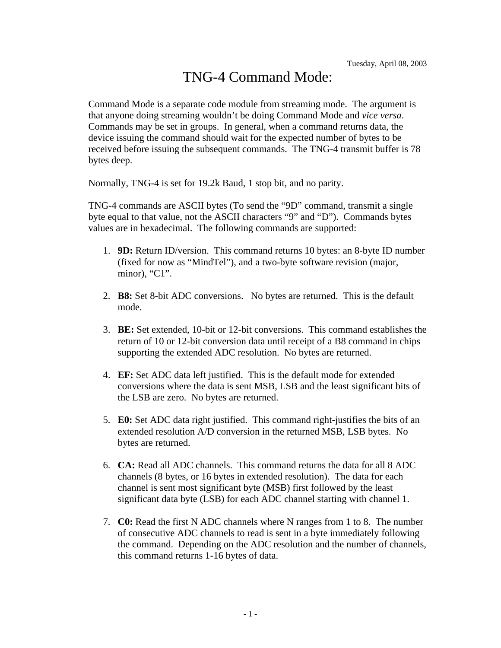## TNG-4 Command Mode:

Command Mode is a separate code module from streaming mode. The argument is that anyone doing streaming wouldn't be doing Command Mode and *vice versa*. Commands may be set in groups. In general, when a command returns data, the device issuing the command should wait for the expected number of bytes to be received before issuing the subsequent commands. The TNG-4 transmit buffer is 78 bytes deep.

Normally, TNG-4 is set for 19.2k Baud, 1 stop bit, and no parity.

TNG-4 commands are ASCII bytes (To send the "9D" command, transmit a single byte equal to that value, not the ASCII characters "9" and "D"). Commands bytes values are in hexadecimal. The following commands are supported:

- 1. **9D:** Return ID/version. This command returns 10 bytes: an 8-byte ID number (fixed for now as "MindTel"), and a two-byte software revision (major, minor), "C1".
- 2. **B8:** Set 8-bit ADC conversions. No bytes are returned. This is the default mode.
- 3. **BE:** Set extended, 10-bit or 12-bit conversions. This command establishes the return of 10 or 12-bit conversion data until receipt of a B8 command in chips supporting the extended ADC resolution. No bytes are returned.
- 4. **EF:** Set ADC data left justified. This is the default mode for extended conversions where the data is sent MSB, LSB and the least significant bits of the LSB are zero. No bytes are returned.
- 5. **E0:** Set ADC data right justified. This command right-justifies the bits of an extended resolution A/D conversion in the returned MSB, LSB bytes. No bytes are returned.
- 6. **CA:** Read all ADC channels. This command returns the data for all 8 ADC channels (8 bytes, or 16 bytes in extended resolution). The data for each channel is sent most significant byte (MSB) first followed by the least significant data byte (LSB) for each ADC channel starting with channel 1.
- 7. **C0:** Read the first N ADC channels where N ranges from 1 to 8. The number of consecutive ADC channels to read is sent in a byte immediately following the command. Depending on the ADC resolution and the number of channels, this command returns 1-16 bytes of data.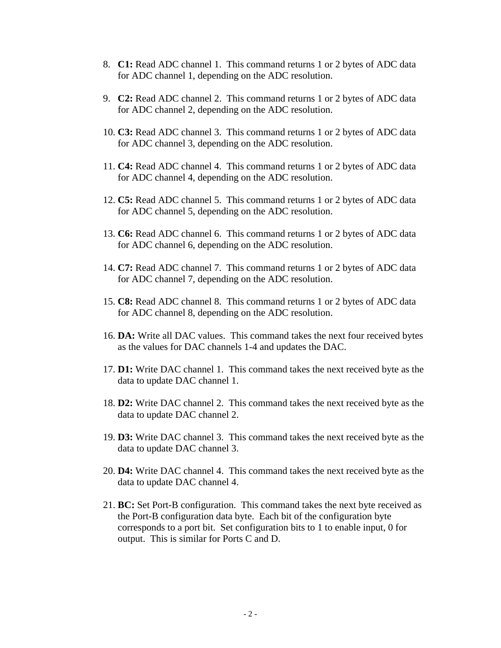- 8. **C1:** Read ADC channel 1. This command returns 1 or 2 bytes of ADC data for ADC channel 1, depending on the ADC resolution.
- 9. **C2:** Read ADC channel 2. This command returns 1 or 2 bytes of ADC data for ADC channel 2, depending on the ADC resolution.
- 10. **C3:** Read ADC channel 3. This command returns 1 or 2 bytes of ADC data for ADC channel 3, depending on the ADC resolution.
- 11. **C4:** Read ADC channel 4. This command returns 1 or 2 bytes of ADC data for ADC channel 4, depending on the ADC resolution.
- 12. **C5:** Read ADC channel 5. This command returns 1 or 2 bytes of ADC data for ADC channel 5, depending on the ADC resolution.
- 13. **C6:** Read ADC channel 6. This command returns 1 or 2 bytes of ADC data for ADC channel 6, depending on the ADC resolution.
- 14. **C7:** Read ADC channel 7. This command returns 1 or 2 bytes of ADC data for ADC channel 7, depending on the ADC resolution.
- 15. **C8:** Read ADC channel 8. This command returns 1 or 2 bytes of ADC data for ADC channel 8, depending on the ADC resolution.
- 16. **DA:** Write all DAC values. This command takes the next four received bytes as the values for DAC channels 1-4 and updates the DAC.
- 17. **D1:** Write DAC channel 1. This command takes the next received byte as the data to update DAC channel 1.
- 18. **D2:** Write DAC channel 2. This command takes the next received byte as the data to update DAC channel 2.
- 19. **D3:** Write DAC channel 3. This command takes the next received byte as the data to update DAC channel 3.
- 20. **D4:** Write DAC channel 4. This command takes the next received byte as the data to update DAC channel 4.
- 21. **BC:** Set Port-B configuration. This command takes the next byte received as the Port-B configuration data byte. Each bit of the configuration byte corresponds to a port bit. Set configuration bits to 1 to enable input, 0 for output. This is similar for Ports C and D.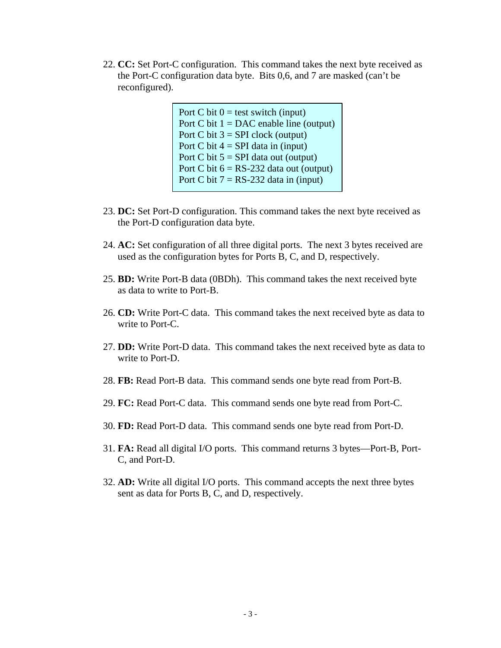22. **CC:** Set Port-C configuration. This command takes the next byte received as the Port-C configuration data byte. Bits 0,6, and 7 are masked (can't be reconfigured).

> Port C bit  $0 =$  test switch (input) Port C bit  $1 = DAC$  enable line (output) Port C bit  $3 = SPI$  clock (output) Port C bit  $4 = SPI$  data in (input) Port C bit  $5 = SPI$  data out (output) Port C bit  $6 = RS-232$  data out (output) Port C bit  $7 = RS-232$  data in (input)

- 23. **DC:** Set Port-D configuration. This command takes the next byte received as the Port-D configuration data byte.
- 24. **AC:** Set configuration of all three digital ports. The next 3 bytes received are used as the configuration bytes for Ports B, C, and D, respectively.
- 25. **BD:** Write Port-B data (0BDh). This command takes the next received byte as data to write to Port-B.
- 26. **CD:** Write Port-C data. This command takes the next received byte as data to write to Port-C.
- 27. **DD:** Write Port-D data. This command takes the next received byte as data to write to Port-D.
- 28. **FB:** Read Port-B data. This command sends one byte read from Port-B.
- 29. **FC:** Read Port-C data. This command sends one byte read from Port-C.
- 30. **FD:** Read Port-D data. This command sends one byte read from Port-D.
- 31. **FA:** Read all digital I/O ports. This command returns 3 bytes—Port-B, Port-C, and Port-D.
- 32. **AD:** Write all digital I/O ports. This command accepts the next three bytes sent as data for Ports B, C, and D, respectively.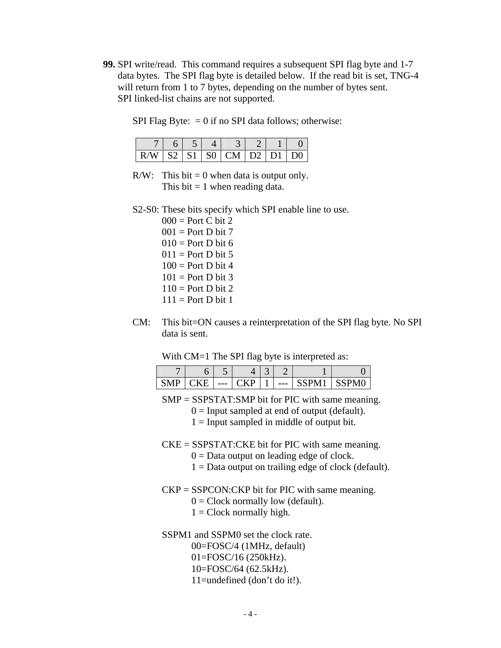**99.** SPI write/read. This command requires a subsequent SPI flag byte and 1-7 data bytes. The SPI flag byte is detailed below. If the read bit is set, TNG-4 will return from 1 to 7 bytes, depending on the number of bytes sent. SPI linked-list chains are not supported.

SPI Flag Byte:  $= 0$  if no SPI data follows; otherwise:

|                            | $6 \mid 5 \mid$ |  |  |  |
|----------------------------|-----------------|--|--|--|
| $R/W$ S2 S1 S0 CM D2 D1 D0 |                 |  |  |  |

- R/W: This bit  $= 0$  when data is output only. This bit  $= 1$  when reading data.
- S2-S0: These bits specify which SPI enable line to use.
	- $000 =$  Port C bit 2  $001 =$  Port D bit 7  $010 =$  Port D bit 6  $011$  = Port D bit 5  $100 =$  Port D bit 4  $101 =$  Port D bit 3  $110 =$  Port D bit 2  $111 =$  Port D bit 1
- CM: This bit=ON causes a reinterpretation of the SPI flag byte. No SPI data is sent.

With CM=1 The SPI flag byte is interpreted as:

|  | ັ     |  |     |  |
|--|-------|--|-----|--|
|  | $---$ |  | --- |  |

- SMP = SSPSTAT:SMP bit for PIC with same meaning.
	- $0 =$  Input sampled at end of output (default).
	- $1 =$  Input sampled in middle of output bit.
- $CKE = SSPSTAT:CKE$  bit for PIC with same meaning.
	- $0 =$  Data output on leading edge of clock.
	- $1 =$  Data output on trailing edge of clock (default).
- $CKP = SSPCON:CKP$  bit for PIC with same meaning.
	- $0 =$  Clock normally low (default).
	- $1 =$  Clock normally high.
- SSPM1 and SSPM0 set the clock rate.
	- 00=FOSC/4 (1MHz, default)
	- 01=FOSC/16 (250kHz).
	- 10=FOSC/64 (62.5kHz).
	- 11=undefined (don't do it!).